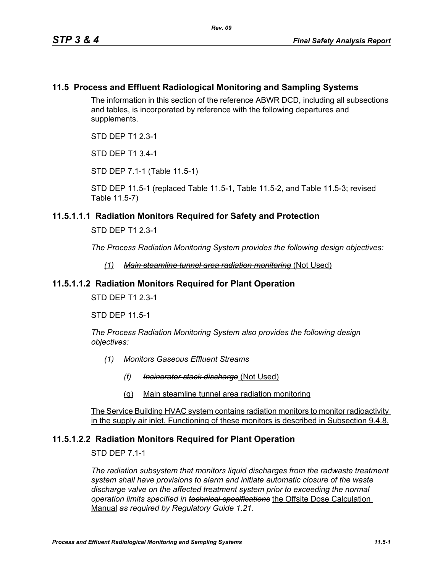#### **11.5 Process and Effluent Radiological Monitoring and Sampling Systems**

The information in this section of the reference ABWR DCD, including all subsections and tables, is incorporated by reference with the following departures and supplements.

STD DEP T1 2.3-1

STD DEP T1 3.4-1

STD DEP 7.1-1 (Table 11.5-1)

STD DEP 11.5-1 (replaced Table 11.5-1, Table 11.5-2, and Table 11.5-3; revised Table 11.5-7)

#### **11.5.1.1.1 Radiation Monitors Required for Safety and Protection**

STD DEP T1 2.3-1

*The Process Radiation Monitoring System provides the following design objectives:*

*(1) Main steamline tunnel area radiation monitoring* (Not Used)

#### **11.5.1.1.2 Radiation Monitors Required for Plant Operation**

STD DEP T1 2.3-1

STD DEP 11.5-1

*The Process Radiation Monitoring System also provides the following design objectives:*

- *(1) Monitors Gaseous Effluent Streams*
	- *(f) Incinerator stack discharge* (Not Used)
	- (g) Main steamline tunnel area radiation monitoring

The Service Building HVAC system contains radiation monitors to monitor radioactivity in the supply air inlet. Functioning of these monitors is described in Subsection 9.4.8.

#### **11.5.1.2.2 Radiation Monitors Required for Plant Operation**

STD DEP 7.1-1

*The radiation subsystem that monitors liquid discharges from the radwaste treatment system shall have provisions to alarm and initiate automatic closure of the waste discharge valve on the affected treatment system prior to exceeding the normal operation limits specified in technical specifications* the Offsite Dose Calculation Manual *as required by Regulatory Guide 1.21.*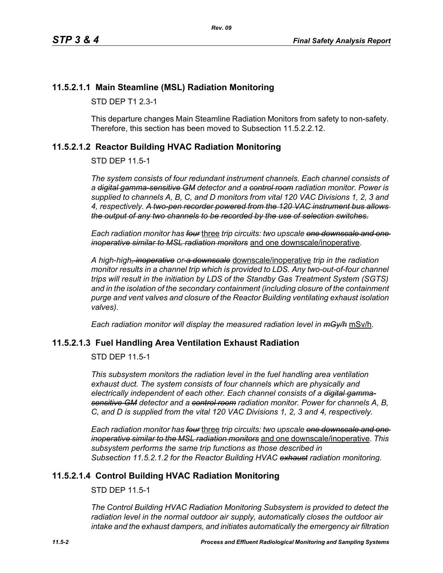#### **11.5.2.1.1 Main Steamline (MSL) Radiation Monitoring**

STD DEP T1 2.3-1

This departure changes Main Steamline Radiation Monitors from safety to non-safety. Therefore, this section has been moved to Subsection 11.5.2.2.12.

#### <span id="page-1-0"></span>**11.5.2.1.2 Reactor Building HVAC Radiation Monitoring**

STD DEP 11.5-1

*The system consists of four redundant instrument channels. Each channel consists of a digital gamma-sensitive GM detector and a control room radiation monitor. Power is supplied to channels A, B, C, and D monitors from vital 120 VAC Divisions 1, 2, 3 and 4, respectively. A two-pen recorder powered from the 120 VAC instrument bus allows the output of any two channels to be recorded by the use of selection switches.*

*Each radiation monitor has four* three *trip circuits: two upscale one downscale and one inoperative similar to MSL radiation monitors* and one downscale/inoperative.

*A high-high, inoperative or a downscale* downscale/inoperative *trip in the radiation monitor results in a channel trip which is provided to LDS. Any two-out-of-four channel trips will result in the initiation by LDS of the Standby Gas Treatment System (SGTS) and in the isolation of the secondary containment (including closure of the containment purge and vent valves and closure of the Reactor Building ventilating exhaust isolation valves).*

*Each radiation monitor will display the measured radiation level in mGy/h* mSv/h.

#### **11.5.2.1.3 Fuel Handling Area Ventilation Exhaust Radiation**

STD DEP 11.5-1

*This subsystem monitors the radiation level in the fuel handling area ventilation exhaust duct. The system consists of four channels which are physically and electrically independent of each other. Each channel consists of a digital gammasensitive GM detector and a control room radiation monitor. Power for channels A, B, C, and D is supplied from the vital 120 VAC Divisions 1, 2, 3 and 4, respectively.*

*Each radiation monitor has four* three *trip circuits: two upscale one downscale and one inoperative similar to the MSL radiation monitors* and one downscale/inoperative. *This subsystem performs the same trip functions as those described in Subsection [11.5.2.1.2](#page-1-0) for the Reactor Building HVAC exhaust radiation monitoring.*

#### **11.5.2.1.4 Control Building HVAC Radiation Monitoring**

STD DEP 11.5-1

*The Control Building HVAC Radiation Monitoring Subsystem is provided to detect the radiation level in the normal outdoor air supply, automatically closes the outdoor air intake and the exhaust dampers, and initiates automatically the emergency air filtration*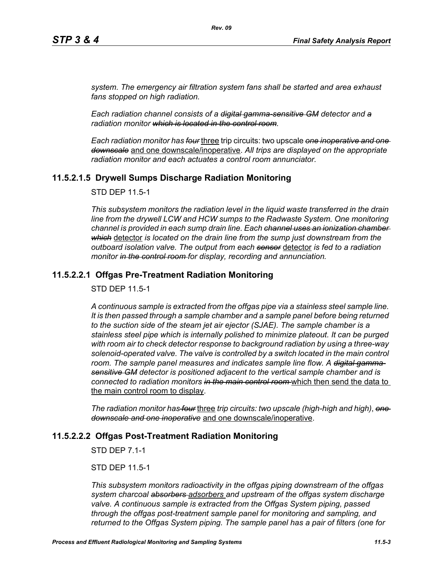*system. The emergency air filtration system fans shall be started and area exhaust fans stopped on high radiation.*

*Each radiation channel consists of a digital gamma-sensitive GM detector and a radiation monitor which is located in the control room.*

*Each radiation monitor has four* three trip circuits: two upscale *one inoperative and one downscale* and one downscale/inoperative. *All trips are displayed on the appropriate radiation monitor and each actuates a control room annunciator.*

#### **11.5.2.1.5 Drywell Sumps Discharge Radiation Monitoring**

STD DEP 11.5-1

*This subsystem monitors the radiation level in the liquid waste transferred in the drain line from the drywell LCW and HCW sumps to the Radwaste System. One monitoring channel is provided in each sump drain line. Each channel uses an ionization chamber which* detector *is located on the drain line from the sump just downstream from the outboard isolation valve. The output from each sensor* detector *is fed to a radiation monitor in the control room for display, recording and annunciation.*

#### **11.5.2.2.1 Offgas Pre-Treatment Radiation Monitoring**

STD DEP 11.5-1

*A continuous sample is extracted from the offgas pipe via a stainless steel sample line. It is then passed through a sample chamber and a sample panel before being returned to the suction side of the steam jet air ejector (SJAE). The sample chamber is a stainless steel pipe which is internally polished to minimize plateout. It can be purged with room air to check detector response to background radiation by using a three-way*  solenoid-operated valve. The valve is controlled by a switch located in the main control room. The sample panel measures and indicates sample line flow. A <del>digital gamma</del>*sensitive GM detector is positioned adjacent to the vertical sample chamber and is connected to radiation monitors in the main control room* which then send the data to the main control room to display.

*The radiation monitor has four* three *trip circuits: two upscale (high-high and high)*, *one downscale and one inoperative* and one downscale/inoperative.

#### **11.5.2.2.2 Offgas Post-Treatment Radiation Monitoring**

STD DEP 7.1-1

STD DEP 11.5-1

*This subsystem monitors radioactivity in the offgas piping downstream of the offgas system charcoal absorbers adsorbers and upstream of the offgas system discharge valve. A continuous sample is extracted from the Offgas System piping, passed through the offgas post-treatment sample panel for monitoring and sampling, and returned to the Offgas System piping. The sample panel has a pair of filters (one for*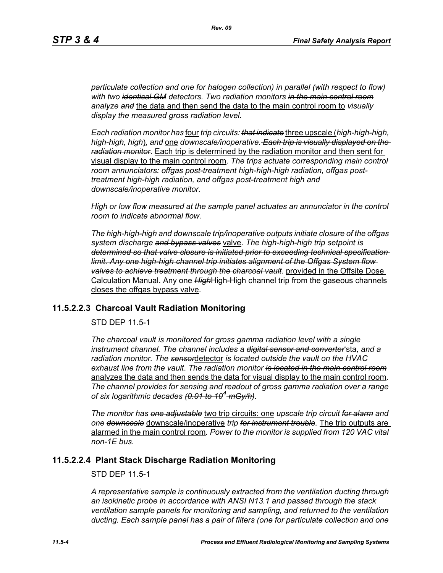*particulate collection and one for halogen collection) in parallel (with respect to flow) with two identical GM detectors. Two radiation monitors in the main control room analyze and* the data and then send the data to the main control room to *visually display the measured gross radiation level*.

*Each radiation monitor has* four *trip circuits: that indicate* three upscale (*high-high-high, high-high, high*)*, and* one *downscale/inoperative. Each trip is visually displayed on the radiation monitor*. Each trip is determined by the radiation monitor and then sent for visual display to the main control room. *The trips actuate corresponding main control room annunciators: offgas post-treatment high-high-high radiation, offgas posttreatment high-high radiation, and offgas post-treatment high and downscale/inoperative monitor.*

*High or low flow measured at the sample panel actuates an annunciator in the control room to indicate abnormal flow.*

*The high-high-high and downscale trip/inoperative outputs initiate closure of the offgas system discharge and bypass valves* valve. *The high-high-high trip setpoint is determined so that valve closure is initiated prior to exceeding technical specification limit. Any one high-high channel trip initiates alignment of the Offgas System flow valves to achieve treatment through the charcoal vault.* provided in the Offsite Dose Calculation Manual. Any one *High*High-High channel trip from the gaseous channels closes the offgas bypass valve.

#### **11.5.2.2.3 Charcoal Vault Radiation Monitoring**

STD DEP 11.5-1

*The charcoal vault is monitored for gross gamma radiation level with a single instrument channel. The channel includes a digital sensor and converter*'sta*, and a radiation monitor. The sensor*detector *is located outside the vault on the HVAC exhaust line from the vault*. *The radiation monitor is located in the main control room* analyzes the data and then sends the data for visual display to the main control room. *The channel provides for sensing and readout of gross gamma radiation over a range of six logarithmic decades (0.01 to 104 mGy/h)*.

*The monitor has one adjustable* two trip circuits: one *upscale trip circuit for alarm and one downscale* downscale/inoperative *trip for instrument trouble.* The trip outputs are alarmed in the main control room*. Power to the monitor is supplied from 120 VAC vital non-1E bus.*

#### **11.5.2.2.4 Plant Stack Discharge Radiation Monitoring**

STD DEP 11.5-1

*A representative sample is continuously extracted from the ventilation ducting through an isokinetic probe in accordance with ANSI N13.1 and passed through the stack ventilation sample panels for monitoring and sampling, and returned to the ventilation ducting. Each sample panel has a pair of filters (one for particulate collection and one*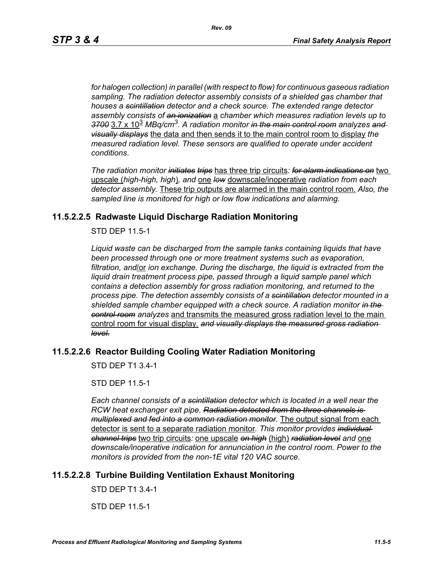*for halogen collection) in parallel (with respect to flow) for continuous gaseous radiation sampling. The radiation detector assembly consists of a shielded gas chamber that houses a scintillation detector and a check source. The extended range detector assembly consists of an ionization* a *chamber which measures radiation levels up to 3700* 3.7 x 10<sup>3</sup> *MBq/cm3. A radiation monitor in the main control room analyzes and visually displays* the data and then sends it to the main control room to display *the measured radiation level. These sensors are qualified to operate under accident conditions*.

*The radiation monitor initiates trips* has three trip circuits*: for alarm indications on* two upscale (*high-high, high*)*, and* one *low* downscale/inoperative *radiation from each detector assembly.* These trip outputs are alarmed in the main control room. *Also, the sampled line is monitored for high or low flow indications and alarming.*

#### **11.5.2.2.5 Radwaste Liquid Discharge Radiation Monitoring**

STD DEP 11.5-1

*Liquid waste can be discharged from the sample tanks containing liquids that have been processed through one or more treatment systems such as evaporation, filtration, and*/or *ion exchange. During the discharge, the liquid is extracted from the liquid drain treatment process pipe, passed through a liquid sample panel which contains a detection assembly for gross radiation monitoring, and returned to the process pipe. The detection assembly consists of a scintillation detector mounted in a shielded sample chamber equipped with a check source. A radiation monitor in the control room analyzes* and transmits the measured gross radiation level to the main control room for visual display. *and visually displays the measured gross radiation level.*

# **11.5.2.2.6 Reactor Building Cooling Water Radiation Monitoring**

STD DEP T1 3.4-1

STD DEP 11.5-1

*Each channel consists of a scintillation detector which is located in a well near the RCW heat exchanger exit pipe. Radiation detected from the three channels is multiplexed and fed into a common radiation monitor.* The output signal from each detector is sent to a separate radiation monitor*. This monitor provides individual channel trips* two trip circuits*:* one upscale *on high* (high) *radiation level and* one *downscale/inoperative indication for annunciation in the control room. Power to the monitors is provided from the non-1E vital 120 VAC source*.

## **11.5.2.2.8 Turbine Building Ventilation Exhaust Monitoring**

STD DEP T1 3.4-1

STD DEP 11.5-1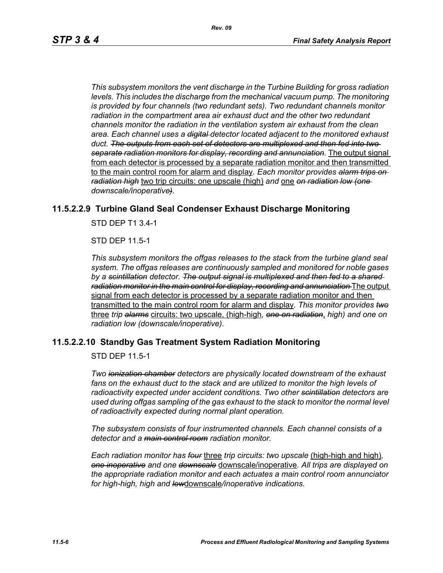*This subsystem monitors the vent discharge in the Turbine Building for gross radiation*  levels. This includes the discharge from the mechanical vacuum pump. The monitoring *is provided by four channels (two redundant sets). Two redundant channels monitor radiation in the compartment area air exhaust duct and the other two redundant channels monitor the radiation in the ventilation system air exhaust from the clean area. Each channel uses a digital detector located adjacent to the monitored exhaust duct. The outputs from each set of detectors are multiplexed and then fed into two separate radiation monitors for display, recording and annunciation.* The output signal from each detector is processed by a separate radiation monitor and then transmitted to the main control room for alarm and display*. Each monitor provides alarm trips on radiation high* two trip circuits: one upscale (high) *and* one *on radiation low (one downscale/inoperative).*

#### **11.5.2.2.9 Turbine Gland Seal Condenser Exhaust Discharge Monitoring**

STD DEP T1 3.4-1

STD DEP 11.5-1

*This subsystem monitors the offgas releases to the stack from the turbine gland seal system. The offgas releases are continuously sampled and monitored for noble gases by a scintillation detector. The output signal is multiplexed and then fed to a shared radiation monitor in the main control for display, recording and annunciation* The output signal from each detector is processed by a separate radiation monitor and then transmitted to the main control room for alarm and display*. This monitor provides two* three *trip alarms* circuits: two upscale, (high-high*, one on radiation*, *high) and one on radiation low (downscale/inoperative)*.

#### **11.5.2.2.10 Standby Gas Treatment System Radiation Monitoring**

STD DEP 11.5-1

*Two ionization chamber detectors are physically located downstream of the exhaust fans on the exhaust duct to the stack and are utilized to monitor the high levels of radioactivity expected under accident conditions. Two other scintillation detectors are used during offgas sampling of the gas exhaust to the stack to monitor the normal level of radioactivity expected during normal plant operation.*

*The subsystem consists of four instrumented channels. Each channel consists of a detector and a main control room radiation monitor.*

*Each radiation monitor has four* three *trip circuits: two upscale* (high-high and high)*, one inoperative and one downscale* downscale/inoperative*. All trips are displayed on the appropriate radiation monitor and each actuates a main control room annunciator for high-high, high and low*downscale*/inoperative indications.*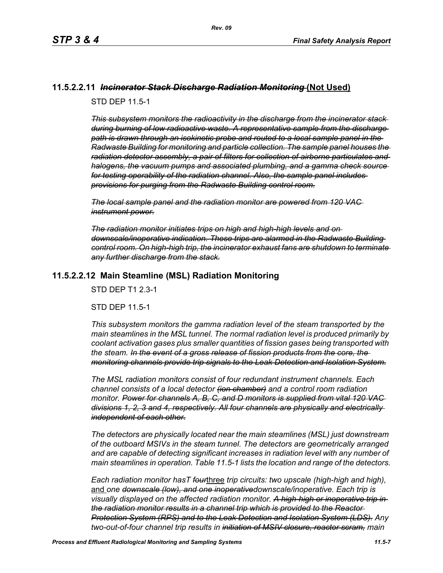#### **11.5.2.2.11** *Incinerator Stack Discharge Radiation Monitoring* **(Not Used)**

STD DEP 11.5-1

*This subsystem monitors the radioactivity in the discharge from the incinerator stack during burning of low radioactive waste. A representative sample from the discharge path is drawn through an isokinetic probe and routed to a local sample panel in the Radwaste Building for monitoring and particle collection. The sample panel houses the radiation detector assembly, a pair of filters for collection of airborne particulates and halogens, the vacuum pumps and associated plumbing, and a gamma check source for testing operability of the radiation channel. Also, the sample panel includes provisions for purging from the Radwaste Building control room.*

*The local sample panel and the radiation monitor are powered from 120 VAC instrument power.*

*The radiation monitor initiates trips on high and high-high levels and on downscale/inoperative indication. These trips are alarmed in the Radwaste Building control room. On high-high trip, the incinerator exhaust fans are shutdown to terminate any further discharge from the stack.*

#### **11.5.2.2.12 Main Steamline (MSL) Radiation Monitoring**

STD DEP T1 2.3-1

STD DEP 11.5-1

*This subsystem monitors the gamma radiation level of the steam transported by the main steamlines in the MSL tunnel. The normal radiation level is produced primarily by coolant activation gases plus smaller quantities of fission gases being transported with the steam. In the event of a gross release of fission products from the core, the monitoring channels provide trip signals to the Leak Detection and Isolation System.*

*The MSL radiation monitors consist of four redundant instrument channels. Each channel consists of a local detector (ion chamber) and a control room radiation monitor. Power for channels A, B, C, and D monitors is supplied from vital 120 VAC divisions 1, 2, 3 and 4, respectively. All four channels are physically and electrically independent of each other.*

*The detectors are physically located near the main steamlines (MSL) just downstream of the outboard MSIVs in the steam tunnel. The detectors are geometrically arranged and are capable of detecting significant increases in radiation level with any number of main steamlines in operation. Table 11.5-1 lists the location and range of the detectors.*

*Each radiation monitor hasT four*three *trip circuits: two upscale (high-high and high),*  and *one downscale (low), and one inoperativedownscale/inoperative. Each trip is visually displayed on the affected radiation monitor. A high-high or inoperative trip in the radiation monitor results in a channel trip which is provided to the Reactor Protection System (RPS) and to the Leak Detection and Isolation System (LDS). Any two-out-of-four channel trip results in initiation of MSIV closure, reactor scram, main*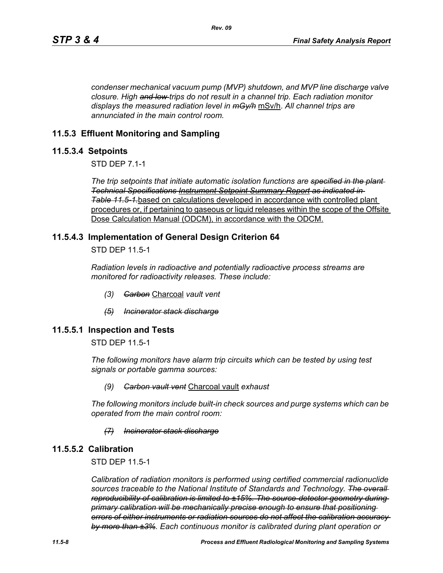*condenser mechanical vacuum pump (MVP) shutdown, and MVP line discharge valve closure. High and low trips do not result in a channel trip. Each radiation monitor displays the measured radiation level in mGy/h* mSv/h. *All channel trips are annunciated in the main control room.*

#### **11.5.3 Effluent Monitoring and Sampling**

#### **11.5.3.4 Setpoints**

STD DEP 7.1-1

*The trip setpoints that initiate automatic isolation functions are specified in the plant Technical Specifications Instrument Setpoint Summary Report as indicated in Table [11.5-1.](#page-12-0)*based on calculations developed in accordance with controlled plant procedures or, if pertaining to gaseous or liquid releases within the scope of the Offsite Dose Calculation Manual (ODCM), in accordance with the ODCM.

#### **11.5.4.3 Implementation of General Design Criterion 64**

STD DEP 11.5-1

*Radiation levels in radioactive and potentially radioactive process streams are monitored for radioactivity releases. These include:*

- *(3) Carbon* Charcoal *vault vent*
- *(5) Incinerator stack discharge*

#### **11.5.5.1 Inspection and Tests**

STD DEP 11.5-1

*The following monitors have alarm trip circuits which can be tested by using test signals or portable gamma sources:*

#### *(9) Carbon vault vent* Charcoal vault *exhaust*

*The following monitors include built-in check sources and purge systems which can be operated from the main control room:*

#### *(7) Incinerator stack discharge*

#### **11.5.5.2 Calibration**

STD DEP 11.5-1

*Calibration of radiation monitors is performed using certified commercial radionuclide sources traceable to the National Institute of Standards and Technology. The overall reproducibility of calibration is limited to ±15%. The source-detector geometry during primary calibration will be mechanically precise enough to ensure that positioning errors of either instruments or radiation sources do not affect the calibration accuracy by more than ±3%. Each continuous monitor is calibrated during plant operation or*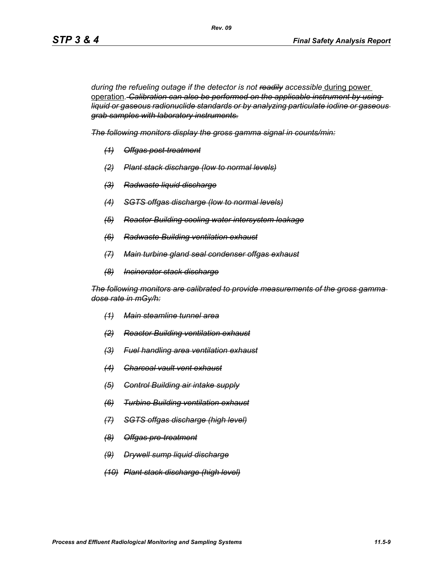during the refueling outage if the detector is not readily accessible during power operation*. Calibration can also be performed on the applicable instrument by using liquid or gaseous radionuclide standards or by analyzing particulate iodine or gaseous grab samples with laboratory instruments.*

*The following monitors display the gross gamma signal in counts/min:*

*Rev. 09*

- *(1) Offgas post-treatment*
- *(2) Plant stack discharge (low to normal levels)*
- *(3) Radwaste liquid discharge*
- *(4) SGTS offgas discharge (low to normal levels)*
- *(5) Reactor Building cooling water intersystem leakage*
- *(6) Radwaste Building ventilation exhaust*
- *(7) Main turbine gland seal condenser offgas exhaust*
- *(8) Incinerator stack discharge*

*The following monitors are calibrated to provide measurements of the gross gamma dose rate in mGy/h:*

- *(1) Main steamline tunnel area*
- *(2) Reactor Building ventilation exhaust*
- *(3) Fuel handling area ventilation exhaust*
- *(4) Charcoal vault vent exhaust*
- *(5) Control Building air intake supply*
- *(6) Turbine Building ventilation exhaust*
- *(7) SGTS offgas discharge (high level)*
- *(8) Offgas pre-treatment*
- *(9) Drywell sump liquid discharge*
- *(10) Plant stack discharge (high level)*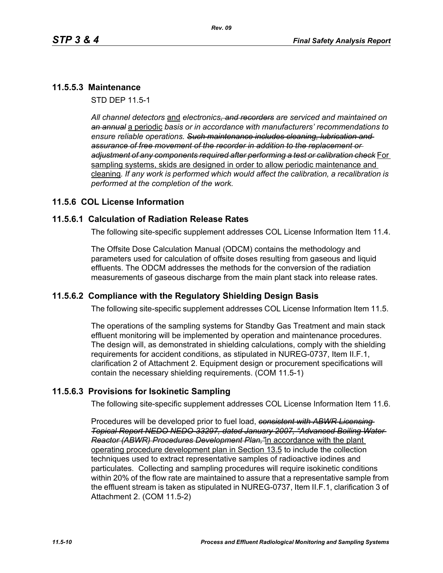# **11.5.5.3 Maintenance**

STD DEP 11.5-1

*All channel detectors* and *electronics, and recorders are serviced and maintained on an annual* a periodic *basis or in accordance with manufacturers' recommendations to ensure reliable operations. Such maintenance includes cleaning, lubrication and assurance of free movement of the recorder in addition to the replacement or adjustment of any components required after performing a test or calibration check* For sampling systems, skids are designed in order to allow periodic maintenance and cleaning*. If any work is performed which would affect the calibration, a recalibration is performed at the completion of the work.*

## **11.5.6 COL License Information**

## **11.5.6.1 Calculation of Radiation Release Rates**

The following site-specific supplement addresses COL License Information Item 11.4.

The Offsite Dose Calculation Manual (ODCM) contains the methodology and parameters used for calculation of offsite doses resulting from gaseous and liquid effluents. The ODCM addresses the methods for the conversion of the radiation measurements of gaseous discharge from the main plant stack into release rates.

## **11.5.6.2 Compliance with the Regulatory Shielding Design Basis**

The following site-specific supplement addresses COL License Information Item 11.5.

The operations of the sampling systems for Standby Gas Treatment and main stack effluent monitoring will be implemented by operation and maintenance procedures. The design will, as demonstrated in shielding calculations, comply with the shielding requirements for accident conditions, as stipulated in NUREG-0737, Item II.F.1, clarification 2 of Attachment 2. Equipment design or procurement specifications will contain the necessary shielding requirements. (COM 11.5-1)

## **11.5.6.3 Provisions for Isokinetic Sampling**

The following site-specific supplement addresses COL License Information Item 11.6.

Procedures will be developed prior to fuel load, *consistent with ABWR Licensing Topical Report NEDO NEDO-33297, dated January 2007, "Advanced Boiling Water Reactor (ABWR) Procedures Development Plan,"*in accordance with the plant operating procedure development plan in Section 13.5 to include the collection techniques used to extract representative samples of radioactive iodines and particulates. Collecting and sampling procedures will require isokinetic conditions within 20% of the flow rate are maintained to assure that a representative sample from the effluent stream is taken as stipulated in NUREG-0737, Item II.F.1, clarification 3 of Attachment 2. (COM 11.5-2)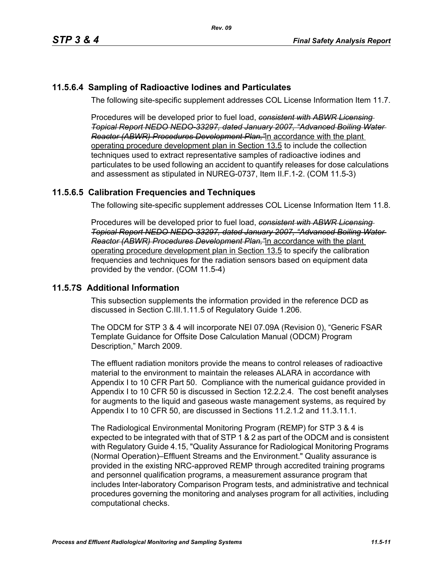# **11.5.6.4 Sampling of Radioactive Iodines and Particulates**

The following site-specific supplement addresses COL License Information Item 11.7.

Procedures will be developed prior to fuel load, *consistent with ABWR Licensing Topical Report NEDO NEDO-33297, dated January 2007, "Advanced Boiling Water Reactor (ABWR) Procedures Development Plan,"*in accordance with the plant operating procedure development plan in Section 13.5 to include the collection techniques used to extract representative samples of radioactive iodines and particulates to be used following an accident to quantify releases for dose calculations and assessment as stipulated in NUREG-0737, Item II.F.1-2. (COM 11.5-3)

# **11.5.6.5 Calibration Frequencies and Techniques**

The following site-specific supplement addresses COL License Information Item 11.8.

Procedures will be developed prior to fuel load, *consistent with ABWR Licensing Topical Report NEDO NEDO-33297, dated January 2007, "Advanced Boiling Water Reactor (ABWR) Procedures Development Plan,"*in accordance with the plant operating procedure development plan in Section 13.5 to specify the calibration frequencies and techniques for the radiation sensors based on equipment data provided by the vendor. (COM 11.5-4)

## **11.5.7S Additional Information**

This subsection supplements the information provided in the reference DCD as discussed in Section C.III.1.11.5 of Regulatory Guide 1.206.

The ODCM for STP 3 & 4 will incorporate NEI 07.09A (Revision 0), "Generic FSAR Template Guidance for Offsite Dose Calculation Manual (ODCM) Program Description," March 2009.

The effluent radiation monitors provide the means to control releases of radioactive material to the environment to maintain the releases ALARA in accordance with Appendix I to 10 CFR Part 50. Compliance with the numerical guidance provided in Appendix I to 10 CFR 50 is discussed in Section 12.2.2.4. The cost benefit analyses for augments to the liquid and gaseous waste management systems, as required by Appendix I to 10 CFR 50, are discussed in Sections 11.2.1.2 and 11.3.11.1.

The Radiological Environmental Monitoring Program (REMP) for STP 3 & 4 is expected to be integrated with that of STP 1 & 2 as part of the ODCM and is consistent with Regulatory Guide 4.15, "Quality Assurance for Radiological Monitoring Programs (Normal Operation)–Effluent Streams and the Environment." Quality assurance is provided in the existing NRC-approved REMP through accredited training programs and personnel qualification programs, a measurement assurance program that includes Inter-laboratory Comparison Program tests, and administrative and technical procedures governing the monitoring and analyses program for all activities, including computational checks.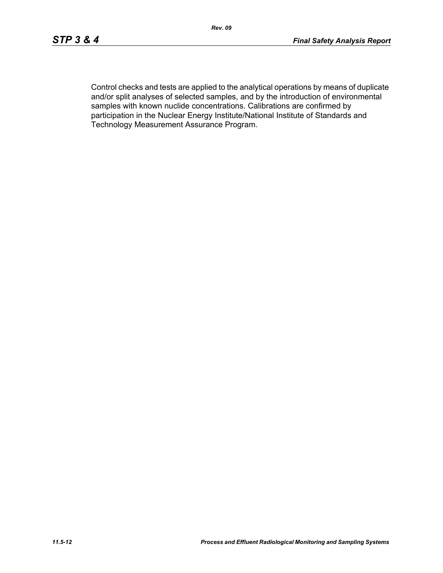Control checks and tests are applied to the analytical operations by means of duplicate and/or split analyses of selected samples, and by the introduction of environmental samples with known nuclide concentrations. Calibrations are confirmed by participation in the Nuclear Energy Institute/National Institute of Standards and Technology Measurement Assurance Program.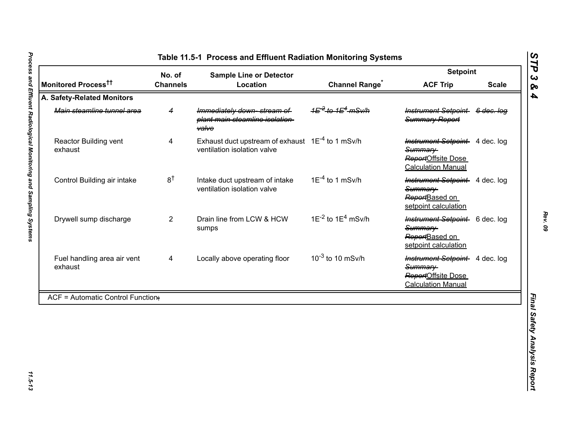<span id="page-12-0"></span>

|                                          | No. of          | <b>Sample Line or Detector</b>                                                              |                                                     | <b>Setpoint</b>                                                                              |              |
|------------------------------------------|-----------------|---------------------------------------------------------------------------------------------|-----------------------------------------------------|----------------------------------------------------------------------------------------------|--------------|
| Monitored Process <sup>††</sup>          | <b>Channels</b> | Location                                                                                    | <b>Channel Range<sup>®</sup></b>                    | <b>ACF Trip</b>                                                                              | <b>Scale</b> |
| A. Safety-Related Monitors               |                 |                                                                                             |                                                     |                                                                                              |              |
| Main steamline tunnel area               | 4               | Immediately down-stream of<br>plant main steamline isolation-<br><b>valve</b>               | 1 <del>E<sup>-2</sup> to 1E<sup>4</sup> mSv/h</del> | Instrument Setpoint 6 dec. log<br>Summary Report                                             |              |
| Reactor Building vent<br>exhaust         | 4               | Exhaust duct upstream of exhaust 1E <sup>-4</sup> to 1 mSv/h<br>ventilation isolation valve |                                                     | Instrument Setpoint 4 dec. log<br>Summary<br>ReportOffsite Dose<br><b>Calculation Manual</b> |              |
| Control Building air intake              | $8^{\dagger}$   | Intake duct upstream of intake<br>ventilation isolation valve                               | $1E^{-4}$ to 1 mSv/h                                | <b>Instrument Setpoint</b> 4 dec. log<br>Summary<br>ReportBased on<br>setpoint calculation   |              |
| Drywell sump discharge                   | $\overline{2}$  | Drain line from LCW & HCW<br>sumps                                                          | $1E^{-2}$ to $1E^{4}$ mSv/h                         | Instrument Setpoint 6 dec. log<br>Summary-<br>ReportBased on<br>setpoint calculation         |              |
| Fuel handling area air vent<br>exhaust   | 4               | Locally above operating floor                                                               | $10^{-3}$ to 10 mSv/h                               | Instrument Setpoint 4 dec. log<br>Summary<br>ReportOffsite Dose<br><b>Calculation Manual</b> |              |
| <b>ACF = Automatic Control Function;</b> |                 |                                                                                             |                                                     |                                                                                              |              |

*Rev. 09*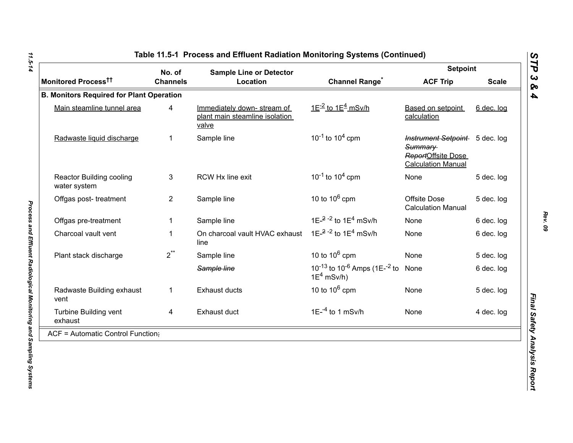|                                                 | No. of          | <b>Sample Line or Detector</b>                                        |                                                                                   | <b>Setpoint</b>                                                                              |              |  |
|-------------------------------------------------|-----------------|-----------------------------------------------------------------------|-----------------------------------------------------------------------------------|----------------------------------------------------------------------------------------------|--------------|--|
| Monitored Process <sup>tt</sup>                 | <b>Channels</b> | Location                                                              | <b>Channel Range<sup>*</sup></b>                                                  | <b>ACF Trip</b>                                                                              | <b>Scale</b> |  |
| <b>B. Monitors Required for Plant Operation</b> |                 |                                                                       |                                                                                   |                                                                                              |              |  |
| Main steamline tunnel area                      | 4               | Immediately down-stream of<br>plant main steamline isolation<br>valve | $1E^{-2}$ to $1E^{4}$ mSv/h                                                       | Based on setpoint<br>calculation                                                             | 6 dec. log   |  |
| Radwaste liquid discharge                       | $\mathbf 1$     | Sample line                                                           | $10^{-1}$ to $10^{4}$ cpm                                                         | Instrument Setpoint 5 dec. log<br>Summary<br>ReportOffsite Dose<br><b>Calculation Manual</b> |              |  |
| <b>Reactor Building cooling</b><br>water system | 3               | RCW Hx line exit                                                      | $10^{-1}$ to $10^{4}$ cpm                                                         | None                                                                                         | 5 dec. log   |  |
| Offgas post-treatment                           | $\overline{2}$  | Sample line                                                           | 10 to $10^6$ cpm                                                                  | Offsite Dose<br><b>Calculation Manual</b>                                                    | 5 dec. log   |  |
| Offgas pre-treatment                            |                 | Sample line                                                           | 1E- $^{2}$ - $^{2}$ to 1E <sup>4</sup> mSv/h                                      | None                                                                                         | 6 dec. log   |  |
| Charcoal vault vent                             | $\mathbf 1$     | On charcoal vault HVAC exhaust<br>line                                | 1E $-2$ -2 to 1E <sup>4</sup> mSv/h                                               | None                                                                                         | 6 dec. log   |  |
| Plant stack discharge                           | $2^{**}$        | Sample line                                                           | 10 to $10^6$ cpm                                                                  | None                                                                                         | 5 dec. log   |  |
|                                                 |                 | Sample line                                                           | 10 <sup>-13</sup> to 10 <sup>-6</sup> Amps (1E- <sup>-2</sup> to<br>$1E^4$ mSv/h) | None                                                                                         | 6 dec. log   |  |
| Radwaste Building exhaust<br>vent               | $\mathbf{1}$    | <b>Exhaust ducts</b>                                                  | 10 to $10^6$ cpm                                                                  | None                                                                                         | 5 dec. log   |  |
| Turbine Building vent<br>exhaust                | 4               | Exhaust duct                                                          | $1E^{-4}$ to 1 mSv/h                                                              | None                                                                                         | 4 dec. log   |  |
| $ACF =$ Automatic Control Function;             |                 |                                                                       |                                                                                   |                                                                                              |              |  |

11.5-14 *11.5-14 Process and Effluent Radiological Monitoring and Sampling Systems* 

Process and Effluent Radiological Monitoring and Sampling Systems

*Rev. 09*

*STP 3 & 4*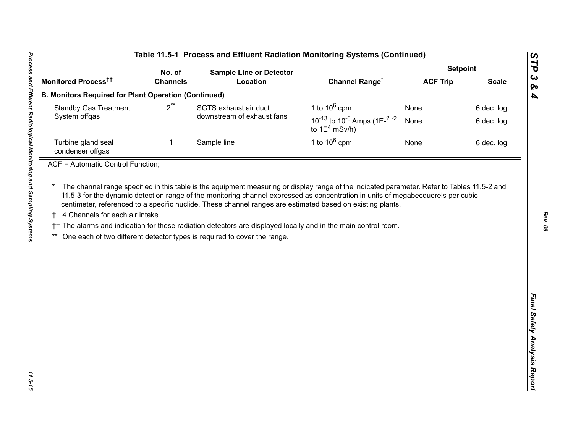| No. of<br><b>Channels</b><br><b>B. Monitors Required for Plant Operation (Continued)</b><br>$2^{**}$<br>1 | <b>Sample Line or Detector</b><br>Location<br>SGTS exhaust air duct<br>downstream of exhaust fans<br>Sample line<br>The channel range specified in this table is the equipment measuring or display range of the indicated parameter. Refer to Tables 11.5-2 and<br>11.5-3 for the dynamic detection range of the monitoring channel expressed as concentration in units of megabecquerels per cubic<br>centimeter, referenced to a specific nuclide. These channel ranges are estimated based on existing plants.<br>†† The alarms and indication for these radiation detectors are displayed locally and in the main control room.<br>One each of two different detector types is required to cover the range. | <b>Channel Range<sup>*</sup></b><br>1 to $10^6$ cpm<br>10 <sup>-13</sup> to 10 <sup>-6</sup> Amps (1E <sup><math>-2</math></sup> <sup>-2</sup><br>to $1E^4$ mSv/h)<br>1 to $10^6$ cpm | <b>ACF Trip</b><br>None<br>None<br>None | <b>Scale</b><br>6 dec. log<br>6 dec. log<br>6 dec. log |
|-----------------------------------------------------------------------------------------------------------|------------------------------------------------------------------------------------------------------------------------------------------------------------------------------------------------------------------------------------------------------------------------------------------------------------------------------------------------------------------------------------------------------------------------------------------------------------------------------------------------------------------------------------------------------------------------------------------------------------------------------------------------------------------------------------------------------------------|---------------------------------------------------------------------------------------------------------------------------------------------------------------------------------------|-----------------------------------------|--------------------------------------------------------|
|                                                                                                           |                                                                                                                                                                                                                                                                                                                                                                                                                                                                                                                                                                                                                                                                                                                  |                                                                                                                                                                                       |                                         |                                                        |
|                                                                                                           |                                                                                                                                                                                                                                                                                                                                                                                                                                                                                                                                                                                                                                                                                                                  |                                                                                                                                                                                       |                                         |                                                        |
|                                                                                                           |                                                                                                                                                                                                                                                                                                                                                                                                                                                                                                                                                                                                                                                                                                                  |                                                                                                                                                                                       |                                         |                                                        |
|                                                                                                           |                                                                                                                                                                                                                                                                                                                                                                                                                                                                                                                                                                                                                                                                                                                  |                                                                                                                                                                                       |                                         |                                                        |
|                                                                                                           |                                                                                                                                                                                                                                                                                                                                                                                                                                                                                                                                                                                                                                                                                                                  |                                                                                                                                                                                       |                                         |                                                        |
|                                                                                                           |                                                                                                                                                                                                                                                                                                                                                                                                                                                                                                                                                                                                                                                                                                                  |                                                                                                                                                                                       |                                         |                                                        |
|                                                                                                           |                                                                                                                                                                                                                                                                                                                                                                                                                                                                                                                                                                                                                                                                                                                  |                                                                                                                                                                                       |                                         |                                                        |
|                                                                                                           |                                                                                                                                                                                                                                                                                                                                                                                                                                                                                                                                                                                                                                                                                                                  |                                                                                                                                                                                       |                                         |                                                        |

*Rev. 09*

*STP 3 & 4*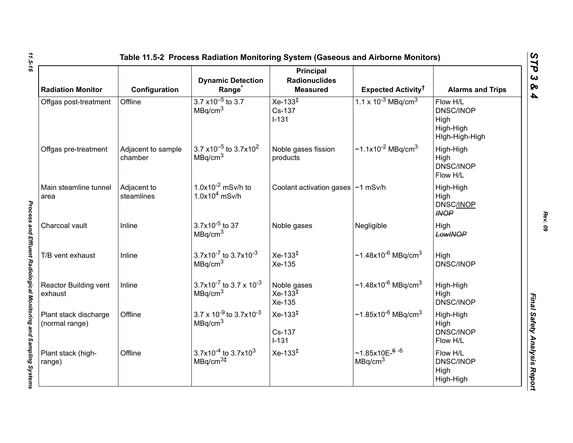| <b>Radiation Monitor</b>                | Configuration                 | <b>Dynamic Detection</b><br>Range <sup>*</sup>                        | Principal<br><b>Radionuclides</b><br><b>Measured</b> | Expected Activity <sup>†</sup>                     | <b>Alarms and Trips</b>                                             |
|-----------------------------------------|-------------------------------|-----------------------------------------------------------------------|------------------------------------------------------|----------------------------------------------------|---------------------------------------------------------------------|
| Offgas post-treatment                   | Offline                       | $3.7 \times 10^{-5}$ to 3.7<br>MBq/cm <sup>3</sup>                    | $Xe-133^{\ddagger}$<br>Cs-137<br>$I-131$             | $1.1 \times 10^{-3}$ MBq/cm <sup>3</sup>           | Flow H/L<br><b>DNSC/INOP</b><br>High<br>High-High<br>High-High-High |
| Offgas pre-treatment                    | Adjacent to sample<br>chamber | 3.7 x10 <sup>-5</sup> to 3.7x10 <sup>2</sup><br>MBq/cm <sup>3</sup>   | Noble gases fission<br>products                      | ~1.1x10 <sup>-2</sup> MBq/cm <sup>3</sup>          | High-High<br>High<br><b>DNSC/INOP</b><br>Flow H/L                   |
| Main steamline tunnel<br>area           | Adjacent to<br>steamlines     | $1.0x10^{-2}$ mSv/h to<br>$1.0x104$ mSv/h                             | Coolant activation gases   ~1 mSv/h                  |                                                    | High-High<br>High<br><b>DNSC/INOP</b><br><b>INOP</b>                |
| Charcoal vault                          | Inline                        | $3.7x10^{-5}$ to 37<br>MBq/cm <sup>3</sup>                            | Noble gases                                          | Negligible                                         | High<br>LowINOP                                                     |
| T/B vent exhaust                        | Inline                        | 3.7x10 <sup>-7</sup> to 3.7x10 <sup>-3</sup><br>MBq/cm <sup>3</sup>   | $Xe-133^{1}$<br>Xe-135                               | $\sim$ 1.48x10 <sup>-6</sup> MBq/cm <sup>3</sup>   | High<br><b>DNSC/INOP</b>                                            |
| Reactor Building vent<br>exhaust        | Inline                        | 3.7x10 <sup>-7</sup> to 3.7 x 10 <sup>-3</sup><br>MBq/cm <sup>3</sup> | Noble gases<br>$Xe-133^{\frac{1}{4}}$<br>Xe-135      | ~1.48x10 <sup>-6</sup> MBq/cm <sup>3</sup>         | High-High<br>High<br><b>DNSC/INOP</b>                               |
| Plant stack discharge<br>(normal range) | Offline                       | $3.7 \times 10^{-9}$ to $3.7 \times 10^{-3}$<br>MBq/cm <sup>3</sup>   | $Xe-133^{1}$<br>Cs-137<br>$I-131$                    | ~1.85x10 <sup>-6</sup> MBq/cm <sup>3</sup>         | High-High<br>High<br><b>DNSC/INOP</b><br>Flow H/L                   |
| Plant stack (high-<br>range)            | Offline                       | $3.7x10^{-4}$ to 3.7x10 <sup>3</sup><br>MBq/cm <sup>3#</sup>          | $Xe-133^{\ddagger}$                                  | $~1.85x10E-$ <sup>6-6</sup><br>MBq/cm <sup>3</sup> | Flow H/L<br><b>DNSC/INOP</b><br>High<br>High-High                   |

*Rev. 09*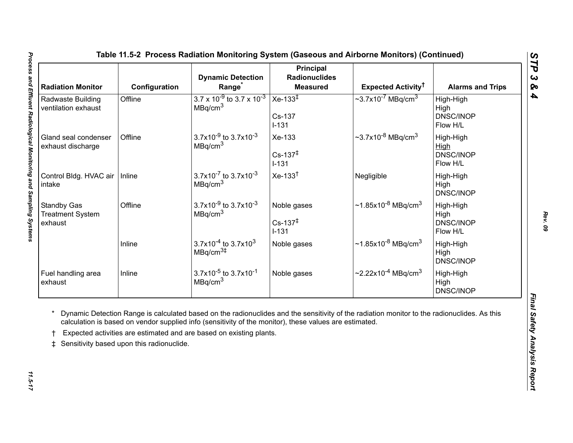<span id="page-16-0"></span>

| <b>Radiation Monitor</b>                                 | Configuration                             | <b>Dynamic Detection</b><br>Range <sup>*</sup>                                                                                                                                | <b>Principal</b><br><b>Radionuclides</b><br><b>Measured</b> | Expected Activity <sup>†</sup>                                                                                                              | <b>Alarms and Trips</b>                    |
|----------------------------------------------------------|-------------------------------------------|-------------------------------------------------------------------------------------------------------------------------------------------------------------------------------|-------------------------------------------------------------|---------------------------------------------------------------------------------------------------------------------------------------------|--------------------------------------------|
| Radwaste Building<br>ventilation exhaust                 | Offline                                   | $3.7 \times 10^{-9}$ to 3.7 x 10 <sup>-3</sup><br>MBq/cm <sup>3</sup>                                                                                                         | Xe-133 $\overline{ }$<br>Cs-137<br>$I-131$                  | $\sim$ 3.7x10 <sup>-7</sup> MBq/cm <sup>3</sup>                                                                                             | High-High<br>High<br>DNSC/INOP<br>Flow H/L |
| Gland seal condenser<br>exhaust discharge                | Offline                                   | 3.7x10 <sup>-9</sup> to 3.7x10 <sup>-3</sup><br>MBq/cm <sup>3</sup>                                                                                                           | Xe-133<br>$Cs - 137^{\ddagger}$<br>$I-131$                  | $\sim$ 3.7x10 <sup>-8</sup> MBq/cm <sup>3</sup>                                                                                             | High-High<br>High<br>DNSC/INOP<br>Flow H/L |
| Control Bldg. HVAC air<br>intake                         | Inline                                    | $3.7x10^{-7}$ to $3.7x10^{-3}$<br>MBq/cm <sup>3</sup>                                                                                                                         | $Xe-133†$                                                   | Negligible                                                                                                                                  | High-High<br>High<br>DNSC/INOP             |
| <b>Standby Gas</b><br><b>Treatment System</b><br>exhaust | Offline                                   | $3.7x10^{-9}$ to $3.7x10^{-3}$<br>MBq/cm <sup>3</sup>                                                                                                                         | Noble gases<br>$Cs - 137^{\ddagger}$<br>$I-131$             | $\sim$ 1.85x10 <sup>-8</sup> MBq/cm <sup>3</sup>                                                                                            | High-High<br>High<br>DNSC/INOP<br>Flow H/L |
|                                                          | Inline                                    | $3.7x10^{-4}$ to 3.7x10 <sup>3</sup><br>MBq/cm <sup>3#</sup>                                                                                                                  | Noble gases                                                 | $\sim$ 1.85x10 <sup>-8</sup> MBq/cm <sup>3</sup>                                                                                            | High-High<br>High<br>DNSC/INOP             |
| Fuel handling area<br>exhaust                            | Inline                                    | $3.7x10^{-5}$ to $3.7x10^{-1}$<br>MBq/cm <sup>3</sup>                                                                                                                         | Noble gases                                                 | $\sim$ 2.22x10 <sup>-4</sup> MBq/cm <sup>3</sup>                                                                                            | High-High<br>High<br>DNSC/INOP             |
| $\ddagger$                                               | Sensitivity based upon this radionuclide. | calculation is based on vendor supplied info (sensitivity of the monitor), these values are estimated.<br>Expected activities are estimated and are based on existing plants. |                                                             | Dynamic Detection Range is calculated based on the radionuclides and the sensitivity of the radiation monitor to the radionuclides. As this |                                            |